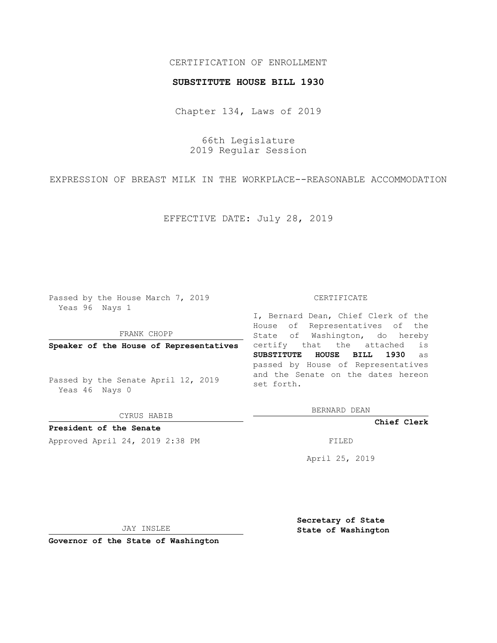# CERTIFICATION OF ENROLLMENT

### **SUBSTITUTE HOUSE BILL 1930**

Chapter 134, Laws of 2019

66th Legislature 2019 Regular Session

EXPRESSION OF BREAST MILK IN THE WORKPLACE--REASONABLE ACCOMMODATION

EFFECTIVE DATE: July 28, 2019

Passed by the House March 7, 2019 Yeas 96 Nays 1

FRANK CHOPP

**Speaker of the House of Representatives**

Passed by the Senate April 12, 2019 Yeas 46 Nays 0

CYRUS HABIB

**President of the Senate**

Approved April 24, 2019 2:38 PM FILED

#### CERTIFICATE

I, Bernard Dean, Chief Clerk of the House of Representatives of the State of Washington, do hereby certify that the attached is **SUBSTITUTE HOUSE BILL 1930** as passed by House of Representatives and the Senate on the dates hereon set forth.

BERNARD DEAN

**Chief Clerk**

April 25, 2019

JAY INSLEE

**Governor of the State of Washington**

**Secretary of State State of Washington**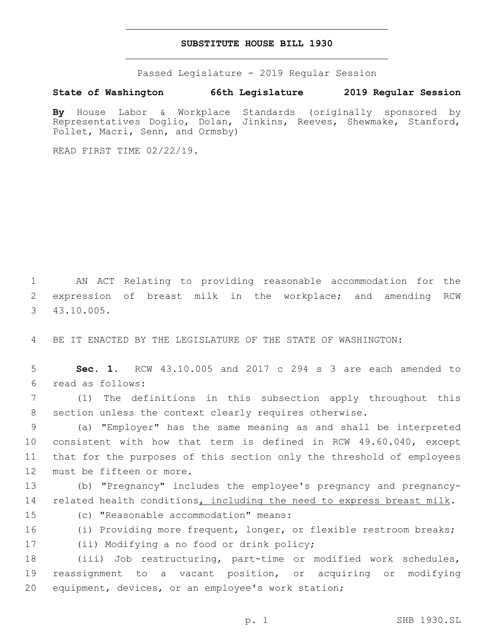## **SUBSTITUTE HOUSE BILL 1930**

Passed Legislature - 2019 Regular Session

## **State of Washington 66th Legislature 2019 Regular Session**

**By** House Labor & Workplace Standards (originally sponsored by Representatives Doglio, Dolan, Jinkins, Reeves, Shewmake, Stanford, Pollet, Macri, Senn, and Ormsby)

READ FIRST TIME 02/22/19.

1 AN ACT Relating to providing reasonable accommodation for the 2 expression of breast milk in the workplace; and amending RCW 43.10.005.3

4 BE IT ENACTED BY THE LEGISLATURE OF THE STATE OF WASHINGTON:

5 **Sec. 1.** RCW 43.10.005 and 2017 c 294 s 3 are each amended to read as follows:6

7 (1) The definitions in this subsection apply throughout this 8 section unless the context clearly requires otherwise.

 (a) "Employer" has the same meaning as and shall be interpreted consistent with how that term is defined in RCW 49.60.040, except that for the purposes of this section only the threshold of employees 12 must be fifteen or more.

13 (b) "Pregnancy" includes the employee's pregnancy and pregnancy-14 related health conditions, including the need to express breast milk.

15 (c) "Reasonable accommodation" means:

16 (i) Providing more frequent, longer, or flexible restroom breaks; 17 (ii) Modifying a no food or drink policy;

18 (iii) Job restructuring, part-time or modified work schedules, 19 reassignment to a vacant position, or acquiring or modifying 20 equipment, devices, or an employee's work station;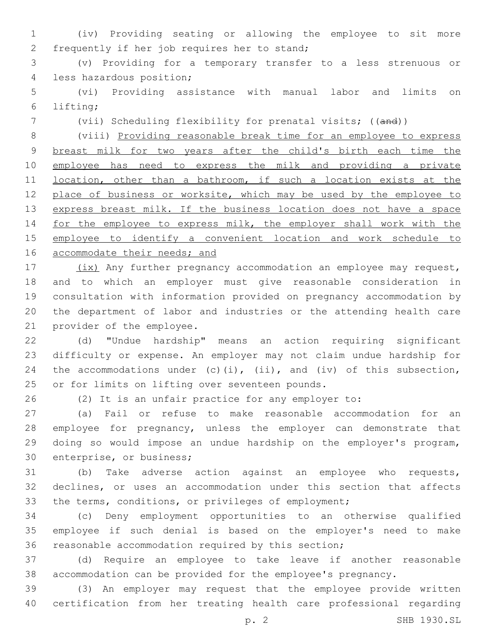(iv) Providing seating or allowing the employee to sit more 2 frequently if her job requires her to stand;

 (v) Providing for a temporary transfer to a less strenuous or 4 less hazardous position;

 (vi) Providing assistance with manual labor and limits on lifting;6

(vii) Scheduling flexibility for prenatal visits; ((and))

 (viii) Providing reasonable break time for an employee to express breast milk for two years after the child's birth each time the employee has need to express the milk and providing a private 11 location, other than a bathroom, if such a location exists at the 12 place of business or worksite, which may be used by the employee to 13 express breast milk. If the business location does not have a space 14 for the employee to express milk, the employer shall work with the employee to identify a convenient location and work schedule to 16 accommodate their needs; and

17 (ix) Any further pregnancy accommodation an employee may request, and to which an employer must give reasonable consideration in consultation with information provided on pregnancy accommodation by the department of labor and industries or the attending health care 21 provider of the employee.

 (d) "Undue hardship" means an action requiring significant difficulty or expense. An employer may not claim undue hardship for 24 the accommodations under  $(c)$  (i), (ii), and (iv) of this subsection, 25 or for limits on lifting over seventeen pounds.

(2) It is an unfair practice for any employer to:

 (a) Fail or refuse to make reasonable accommodation for an employee for pregnancy, unless the employer can demonstrate that doing so would impose an undue hardship on the employer's program, 30 enterprise, or business;

 (b) Take adverse action against an employee who requests, declines, or uses an accommodation under this section that affects the terms, conditions, or privileges of employment;

 (c) Deny employment opportunities to an otherwise qualified employee if such denial is based on the employer's need to make reasonable accommodation required by this section;

 (d) Require an employee to take leave if another reasonable accommodation can be provided for the employee's pregnancy.

 (3) An employer may request that the employee provide written certification from her treating health care professional regarding

p. 2 SHB 1930.SL